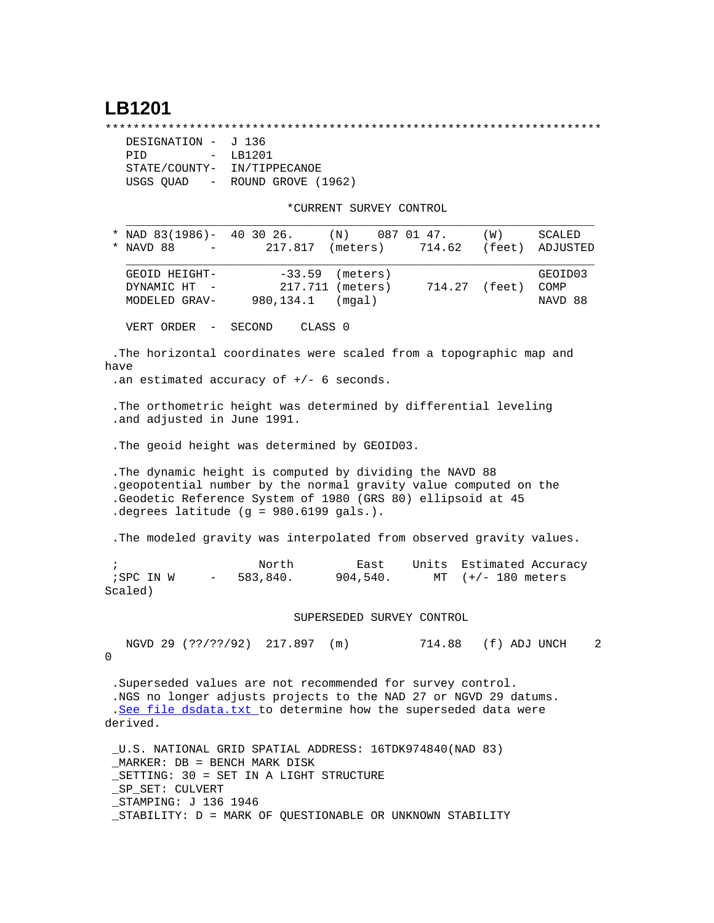## **LB1201**

\*\*\*\*\*\*\*\*\*\*\*\*\*\*\*\*\*\*\*\*\*\*\*\*\*\*\*\*\*\*\*\*\*\*\*\*\*\*\*\*\*\*\*\*\*\*\*\*\*\*\*\*\*\*\*\*\*\*\*\*\*\*\*\*\*\*\*\*\*\*\*

| DESIGNATION - J 136 |                             |
|---------------------|-----------------------------|
| PTD                 | $-$ LB1201                  |
|                     | STATE/COUNTY- IN/TIPPECANOE |
| USGS OUAD -         | ROUND GROVE (1962)          |

\*CURRENT SURVEY CONTROL

| * NAD 83(1986)- 40 30 26.<br>* NAVD 88                                                                                                                                                                                                     | $\sim$ | 217.817                    | (N)<br>(meters)                                                                                                                                                                                  | 087 01 47.               | (W)<br>714.62 (feet) | SCALED<br>ADJUSTED         |
|--------------------------------------------------------------------------------------------------------------------------------------------------------------------------------------------------------------------------------------------|--------|----------------------------|--------------------------------------------------------------------------------------------------------------------------------------------------------------------------------------------------|--------------------------|----------------------|----------------------------|
| GEOID HEIGHT-<br>DYNAMIC HT<br>MODELED GRAV-                                                                                                                                                                                               |        | $-33.59$<br>980,134.1      | (meters)<br>217.711 (meters)<br>(mqal)                                                                                                                                                           |                          | 714.27 (feet)        | GEOID03<br>COMP<br>NAVD 88 |
| VERT ORDER                                                                                                                                                                                                                                 | $\sim$ | SECOND                     | CLASS <sub>0</sub>                                                                                                                                                                               |                          |                      |                            |
| have<br>.an estimated accuracy of $+/-$ 6 seconds.                                                                                                                                                                                         |        |                            | . The horizontal coordinates were scaled from a topographic map and                                                                                                                              |                          |                      |                            |
| .and adjusted in June 1991.                                                                                                                                                                                                                |        |                            | . The orthometric height was determined by differential leveling                                                                                                                                 |                          |                      |                            |
|                                                                                                                                                                                                                                            |        |                            | . The geoid height was determined by GEOID03.                                                                                                                                                    |                          |                      |                            |
| .degrees latitude (g = 980.6199 gals.).                                                                                                                                                                                                    |        |                            | . The dynamic height is computed by dividing the NAVD 88<br>.geopotential number by the normal gravity value computed on the<br>.Geodetic Reference System of 1980 (GRS 80) ellipsoid at 45      |                          |                      |                            |
|                                                                                                                                                                                                                                            |        |                            | . The modeled gravity was interpolated from observed gravity values.                                                                                                                             |                          |                      |                            |
| $\ddot{i}$<br>; SPC IN W<br>Scaled)                                                                                                                                                                                                        |        | North                      | East<br>$-583,840.904,540.$                                                                                                                                                                      | Units Estimated Accuracy | MT $(+/- 180$ meters |                            |
|                                                                                                                                                                                                                                            |        |                            | SUPERSEDED SURVEY CONTROL                                                                                                                                                                        |                          |                      |                            |
| 0                                                                                                                                                                                                                                          |        | NGVD 29 (??/??/92) 217.897 | (m)                                                                                                                                                                                              |                          | 714.88 (f) ADJ UNCH  | 2                          |
| derived.                                                                                                                                                                                                                                   |        |                            | .Superseded values are not recommended for survey control.<br>.NGS no longer adjusts projects to the NAD 27 or NGVD 29 datums.<br>.See file dsdata.txt to determine how the superseded data were |                          |                      |                            |
| U.S. NATIONAL GRID SPATIAL ADDRESS: 16TDK974840(NAD 83)<br>MARKER: DB = BENCH MARK DISK<br>SETTING: 30 = SET IN A LIGHT STRUCTURE<br>_SP_SET: CULVERT<br>STAMPING: J 136 1946<br>_STABILITY: D = MARK OF QUESTIONABLE OR UNKNOWN STABILITY |        |                            |                                                                                                                                                                                                  |                          |                      |                            |